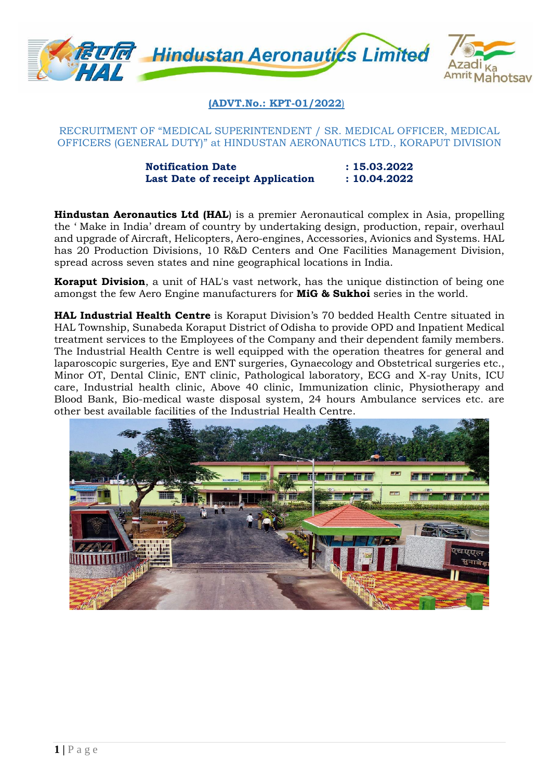

**(ADVT.No.: KPT-01/2022**)

RECRUITMENT OF "MEDICAL SUPERINTENDENT / SR. MEDICAL OFFICER, MEDICAL OFFICERS (GENERAL DUTY)" at HINDUSTAN AERONAUTICS LTD., KORAPUT DIVISION

> **Notification Date** : 15.03.2022 **Last Date of receipt Application : 10.04.2022**

**Hindustan Aeronautics Ltd (HAL**) is a premier Aeronautical complex in Asia, propelling the ' Make in India' dream of country by undertaking design, production, repair, overhaul and upgrade of Aircraft, Helicopters, Aero-engines, Accessories, Avionics and Systems. HAL has 20 Production Divisions, 10 R&D Centers and One Facilities Management Division, spread across seven states and nine geographical locations in India.

**Koraput Division**, a unit of HAL's vast network, has the unique distinction of being one amongst the few Aero Engine manufacturers for **MiG & Sukhoi** series in the world.

**HAL Industrial Health Centre** is Koraput Division's 70 bedded Health Centre situated in HAL Township, Sunabeda Koraput District of Odisha to provide OPD and Inpatient Medical treatment services to the Employees of the Company and their dependent family members. The Industrial Health Centre is well equipped with the operation theatres for general and laparoscopic surgeries, Eye and ENT surgeries, Gynaecology and Obstetrical surgeries etc., Minor OT, Dental Clinic, ENT clinic, Pathological laboratory, ECG and X-ray Units, ICU care, Industrial health clinic, Above 40 clinic, Immunization clinic, Physiotherapy and Blood Bank, Bio-medical waste disposal system, 24 hours Ambulance services etc. are other best available facilities of the Industrial Health Centre.

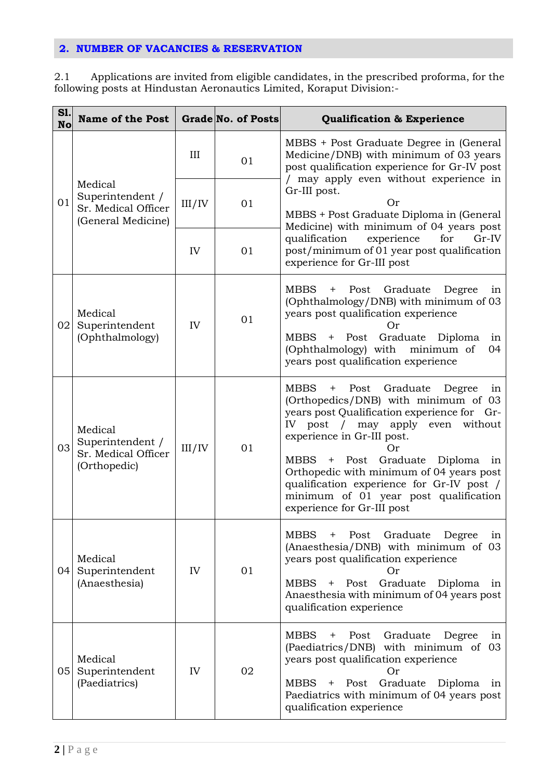# **2. NUMBER OF VACANCIES & RESERVATION**

2.1 Applications are invited from eligible candidates, in the prescribed proforma, for the following posts at Hindustan Aeronautics Limited, Koraput Division:-

| <b>S1.</b><br><b>No</b> | <b>Name of the Post</b>                                                  |              | <b>Grade No. of Posts</b> | <b>Qualification &amp; Experience</b>                                                                                                                                                                                                                                                                                                                                                                                                       |
|-------------------------|--------------------------------------------------------------------------|--------------|---------------------------|---------------------------------------------------------------------------------------------------------------------------------------------------------------------------------------------------------------------------------------------------------------------------------------------------------------------------------------------------------------------------------------------------------------------------------------------|
| 01                      | Medical<br>Superintendent /<br>Sr. Medical Officer<br>(General Medicine) | III          | 01                        | MBBS + Post Graduate Degree in (General<br>Medicine/DNB) with minimum of 03 years<br>post qualification experience for Gr-IV post<br>/ may apply even without experience in<br>Gr-III post.<br>Or<br>MBBS + Post Graduate Diploma in (General<br>Medicine) with minimum of 04 years post                                                                                                                                                    |
|                         |                                                                          | III/IV       | 01                        |                                                                                                                                                                                                                                                                                                                                                                                                                                             |
|                         |                                                                          | IV           | 01                        | qualification<br>experience<br>for<br>$Gr-IV$<br>post/minimum of 01 year post qualification<br>experience for Gr-III post                                                                                                                                                                                                                                                                                                                   |
| 02                      | Medical<br>Superintendent<br>(Ophthalmology)                             | IV           | 01                        | <b>MBBS</b><br>Post<br>Graduate<br>Degree<br>in<br>$\pm$<br>(Ophthalmology/DNB) with minimum of 03<br>years post qualification experience<br>Or<br>Graduate Diploma<br>MBBS<br>+ Post<br>in<br>(Ophthalmology) with minimum of<br>04<br>years post qualification experience                                                                                                                                                                 |
| 03                      | Medical<br>Superintendent /<br>Sr. Medical Officer<br>(Orthopedic)       | $\rm III/IV$ | 01                        | <b>MBBS</b><br>Post<br>Graduate<br>$\pm$<br>Degree<br>in<br>(Orthopedics/DNB) with minimum of 03<br>years post Qualification experience for Gr-<br>IV post / may apply even<br>without<br>experience in Gr-III post.<br>Or<br>Graduate Diploma<br>MBBS<br>Post<br>$+$<br>in<br>Orthopedic with minimum of 04 years post<br>qualification experience for Gr-IV post /<br>minimum of 01 year post qualification<br>experience for Gr-III post |
| 04                      | Medical<br>Superintendent<br>(Anaesthesia)                               | IV           | 01                        | <b>MBBS</b><br>Post<br>Graduate<br>Degree<br>in<br>$\pm$<br>(Anaesthesia/DNB) with minimum of 03<br>years post qualification experience<br><b>Or</b><br>Graduate Diploma in<br>MBBS<br>Post<br>$+$<br>Anaesthesia with minimum of 04 years post<br>qualification experience                                                                                                                                                                 |
| 05                      | Medical<br>Superintendent<br>(Paediatrics)                               | IV           | 02                        | <b>MBBS</b><br>Post<br>Graduate<br>Degree<br>$\mathrm{+}$<br>1n<br>(Paediatrics/DNB) with minimum of 03<br>years post qualification experience<br><b>Or</b><br>Graduate Diploma in<br>MBBS<br>Post<br>$^{+}$<br>Paediatrics with minimum of 04 years post<br>qualification experience                                                                                                                                                       |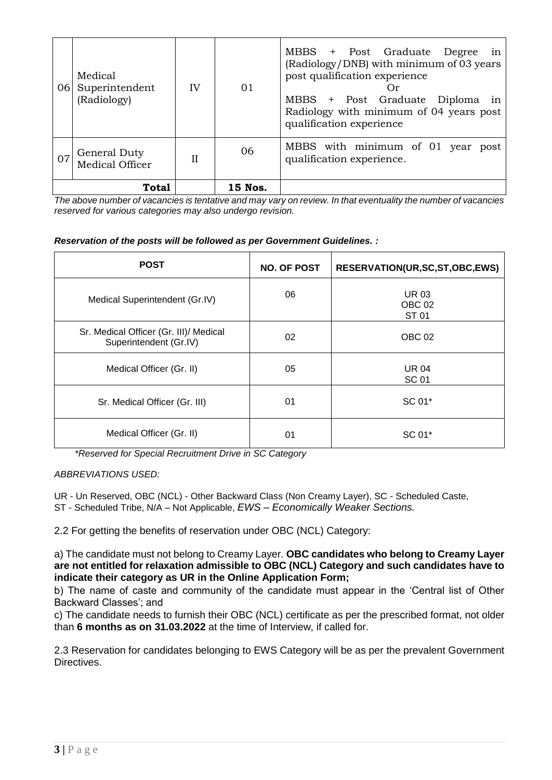| 06 | Medical<br>Superintendent<br>(Radiology) | IV           | 01      | MBBS + Post Graduate Degree in<br>(Radiology/DNB) with minimum of 03 years<br>post qualification experience<br>( )r<br>MBBS + Post Graduate Diploma in<br>Radiology with minimum of 04 years post<br>qualification experience |
|----|------------------------------------------|--------------|---------|-------------------------------------------------------------------------------------------------------------------------------------------------------------------------------------------------------------------------------|
|    | General Duty<br>Medical Officer          | $\mathbf{I}$ | 06      | MBBS with minimum of 01 year post<br>qualification experience.                                                                                                                                                                |
|    | Total                                    |              | 15 Nos. |                                                                                                                                                                                                                               |

*The above number of vacancies is tentative and may vary on review. In that eventuality the number of vacancies reserved for various categories may also undergo revision.* 

*Reservation of the posts will be followed as per Government Guidelines. :*

| <b>POST</b>                                                      | <b>NO. OF POST</b> | RESERVATION(UR, SC, ST, OBC, EWS)         |
|------------------------------------------------------------------|--------------------|-------------------------------------------|
| Medical Superintendent (Gr.IV)                                   | 06                 | <b>UR03</b><br>OBC <sub>02</sub><br>ST 01 |
| Sr. Medical Officer (Gr. III)/ Medical<br>Superintendent (Gr.IV) | 02                 | OBC <sub>02</sub>                         |
| Medical Officer (Gr. II)                                         | 05                 | <b>UR 04</b><br><b>SC 01</b>              |
| Sr. Medical Officer (Gr. III)                                    | 01                 | SC 01*                                    |
| Medical Officer (Gr. II)                                         | 01                 | SC 01*                                    |

 *\*Reserved for Special Recruitment Drive in SC Category*

*ABBREVIATIONS USED:*

UR - Un Reserved, OBC (NCL) - Other Backward Class (Non Creamy Layer), SC - Scheduled Caste, ST - Scheduled Tribe, N/A – Not Applicable, *EWS – Economically Weaker Sections.*

2.2 For getting the benefits of reservation under OBC (NCL) Category:

a) The candidate must not belong to Creamy Layer. **OBC candidates who belong to Creamy Layer are not entitled for relaxation admissible to OBC (NCL) Category and such candidates have to indicate their category as UR in the Online Application Form;** 

b) The name of caste and community of the candidate must appear in the 'Central list of Other Backward Classes'; and

c) The candidate needs to furnish their OBC (NCL) certificate as per the prescribed format, not older than **6 months as on 31.03.2022** at the time of Interview, if called for.

2.3 Reservation for candidates belonging to EWS Category will be as per the prevalent Government Directives.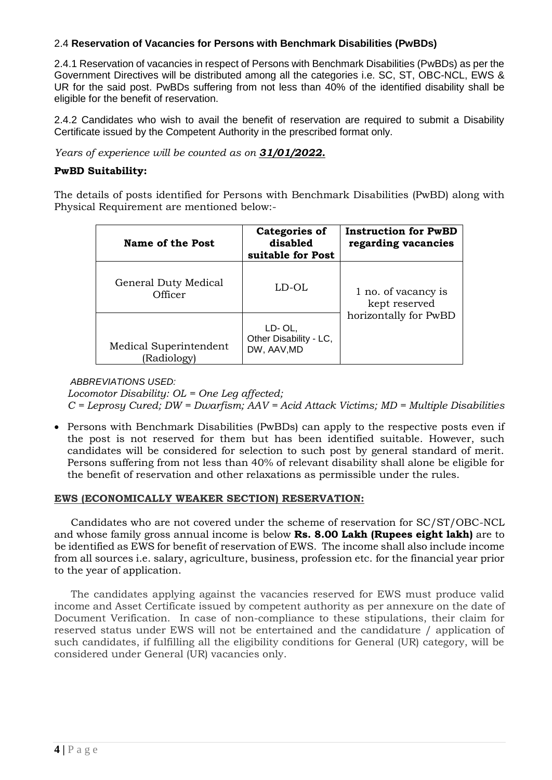# 2.4 **Reservation of Vacancies for Persons with Benchmark Disabilities (PwBDs)**

2.4.1 Reservation of vacancies in respect of Persons with Benchmark Disabilities (PwBDs) as per the Government Directives will be distributed among all the categories i.e. SC, ST, OBC-NCL, EWS & UR for the said post. PwBDs suffering from not less than 40% of the identified disability shall be eligible for the benefit of reservation.

2.4.2 Candidates who wish to avail the benefit of reservation are required to submit a Disability Certificate issued by the Competent Authority in the prescribed format only.

*Years of experience will be counted as on 31/01/2022.*

### **PwBD Suitability:**

The details of posts identified for Persons with Benchmark Disabilities (PwBD) along with Physical Requirement are mentioned below:-

| Name of the Post                      | <b>Categories of</b><br>disabled<br>suitable for Post | <b>Instruction for PwBD</b><br>regarding vacancies |  |
|---------------------------------------|-------------------------------------------------------|----------------------------------------------------|--|
| General Duty Medical<br>Officer       | LD-OL                                                 | 1 no. of vacancy is<br>kept reserved               |  |
| Medical Superintendent<br>(Radiology) | LD-OL,<br>Other Disability - LC,<br>DW, AAV, MD       | horizontally for PwBD                              |  |

*ABBREVIATIONS USED:*

*Locomotor Disability: OL = One Leg affected; C = Leprosy Cured; DW = Dwarfism; AAV = Acid Attack Victims; MD = Multiple Disabilities*

• Persons with Benchmark Disabilities (PwBDs) can apply to the respective posts even if the post is not reserved for them but has been identified suitable. However, such candidates will be considered for selection to such post by general standard of merit. Persons suffering from not less than 40% of relevant disability shall alone be eligible for the benefit of reservation and other relaxations as permissible under the rules.

#### **EWS (ECONOMICALLY WEAKER SECTION) RESERVATION:**

Candidates who are not covered under the scheme of reservation for SC/ST/OBC-NCL and whose family gross annual income is below **Rs. 8.00 Lakh (Rupees eight lakh)** are to be identified as EWS for benefit of reservation of EWS. The income shall also include income from all sources i.e. salary, agriculture, business, profession etc. for the financial year prior to the year of application.

The candidates applying against the vacancies reserved for EWS must produce valid income and Asset Certificate issued by competent authority as per annexure on the date of Document Verification. In case of non-compliance to these stipulations, their claim for reserved status under EWS will not be entertained and the candidature / application of such candidates, if fulfilling all the eligibility conditions for General (UR) category, will be considered under General (UR) vacancies only.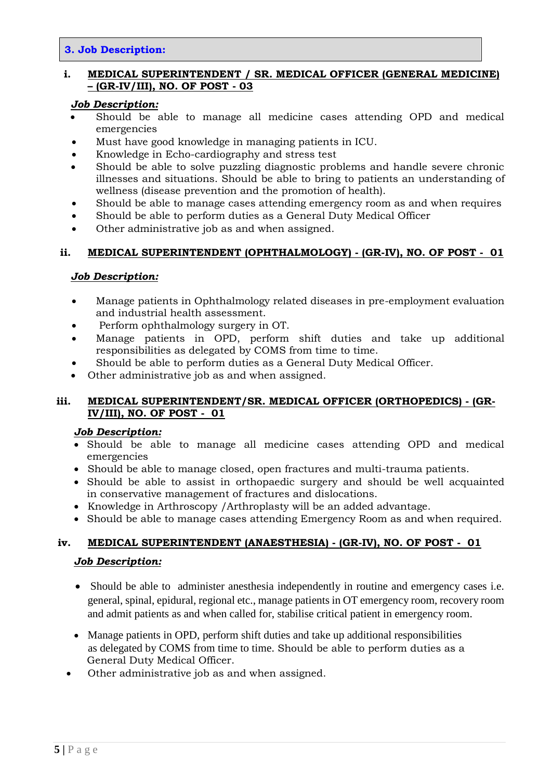### **3. Job Description:**

## **i. MEDICAL SUPERINTENDENT / SR. MEDICAL OFFICER (GENERAL MEDICINE) – (GR-IV/III), NO. OF POST - 03**

#### *Job Description:*

- Should be able to manage all medicine cases attending OPD and medical emergencies
- Must have good knowledge in managing patients in ICU.
- Knowledge in Echo-cardiography and stress test
- Should be able to solve puzzling diagnostic problems and handle severe chronic illnesses and situations. Should be able to bring to patients an understanding of wellness (disease prevention and the promotion of health).
- Should be able to manage cases attending emergency room as and when requires
- Should be able to perform duties as a General Duty Medical Officer
- Other administrative job as and when assigned.

## **ii. MEDICAL SUPERINTENDENT (OPHTHALMOLOGY) - (GR-IV), NO. OF POST - 01**

#### *Job Description:*

- Manage patients in Ophthalmology related diseases in pre-employment evaluation and industrial health assessment.
- Perform ophthalmology surgery in OT.
- Manage patients in OPD, perform shift duties and take up additional responsibilities as delegated by COMS from time to time.
- Should be able to perform duties as a General Duty Medical Officer.
- Other administrative job as and when assigned.

## **iii. MEDICAL SUPERINTENDENT/SR. MEDICAL OFFICER (ORTHOPEDICS) - (GR-IV/III), NO. OF POST - 01**

#### *Job Description:*

- Should be able to manage all medicine cases attending OPD and medical emergencies
- Should be able to manage closed, open fractures and multi-trauma patients.
- Should be able to assist in orthopaedic surgery and should be well acquainted in conservative management of fractures and dislocations.
- Knowledge in Arthroscopy /Arthroplasty will be an added advantage.
- Should be able to manage cases attending Emergency Room as and when required.

# **iv. MEDICAL SUPERINTENDENT (ANAESTHESIA) - (GR-IV), NO. OF POST - 01**

#### *Job Description:*

- Should be able to administer anesthesia independently in routine and emergency cases i.e. general, spinal, epidural, regional etc., manage patients in OT emergency room, recovery room and admit patients as and when called for, stabilise critical patient in emergency room.
- Manage patients in OPD, perform shift duties and take up additional responsibilities as delegated by COMS from time to time. Should be able to perform duties as a General Duty Medical Officer.
- Other administrative job as and when assigned.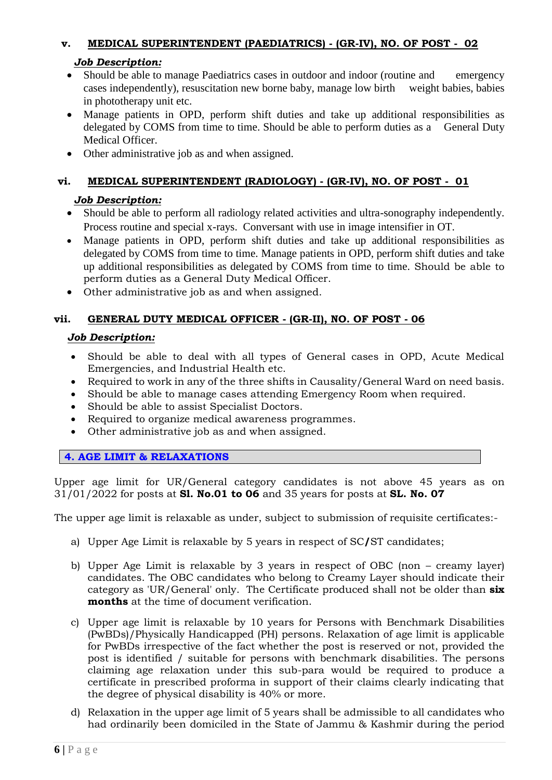# **v. MEDICAL SUPERINTENDENT (PAEDIATRICS) - (GR-IV), NO. OF POST - 02**

## *Job Description:*

- Should be able to manage Paediatrics cases in outdoor and indoor (routine and emergency cases independently), resuscitation new borne baby, manage low birth weight babies, babies in phototherapy unit etc.
- Manage patients in OPD, perform shift duties and take up additional responsibilities as delegated by COMS from time to time. Should be able to perform duties as a General Duty Medical Officer.
- Other administrative job as and when assigned.

# **vi. MEDICAL SUPERINTENDENT (RADIOLOGY) - (GR-IV), NO. OF POST - 01**

# *Job Description:*

- Should be able to perform all radiology related activities and ultra-sonography independently. Process routine and special x-rays. Conversant with use in image intensifier in OT.
- Manage patients in OPD, perform shift duties and take up additional responsibilities as delegated by COMS from time to time. Manage patients in OPD, perform shift duties and take up additional responsibilities as delegated by COMS from time to time. Should be able to perform duties as a General Duty Medical Officer.
- Other administrative job as and when assigned.

# **vii. GENERAL DUTY MEDICAL OFFICER - (GR-II), NO. OF POST - 06**

## *Job Description:*

- Should be able to deal with all types of General cases in OPD, Acute Medical Emergencies, and Industrial Health etc.
- Required to work in any of the three shifts in Causality/General Ward on need basis.
- Should be able to manage cases attending Emergency Room when required.
- Should be able to assist Specialist Doctors.
- Required to organize medical awareness programmes.
- Other administrative job as and when assigned.

**4. AGE LIMIT & RELAXATIONS**

Upper age limit for UR/General category candidates is not above 45 years as on 31/01/2022 for posts at **Sl. No.01 to 06** and 35 years for posts at **SL. No. 07**

The upper age limit is relaxable as under, subject to submission of requisite certificates:-

- a) Upper Age Limit is relaxable by 5 years in respect of SC**/**ST candidates;
- b) Upper Age Limit is relaxable by 3 years in respect of OBC (non creamy layer) candidates. The OBC candidates who belong to Creamy Layer should indicate their category as 'UR/General' only. The Certificate produced shall not be older than **six months** at the time of document verification.
- c) Upper age limit is relaxable by 10 years for Persons with Benchmark Disabilities (PwBDs)/Physically Handicapped (PH) persons. Relaxation of age limit is applicable for PwBDs irrespective of the fact whether the post is reserved or not, provided the post is identified / suitable for persons with benchmark disabilities. The persons claiming age relaxation under this sub-para would be required to produce a certificate in prescribed proforma in support of their claims clearly indicating that the degree of physical disability is 40% or more.
- d) Relaxation in the upper age limit of 5 years shall be admissible to all candidates who had ordinarily been domiciled in the State of Jammu & Kashmir during the period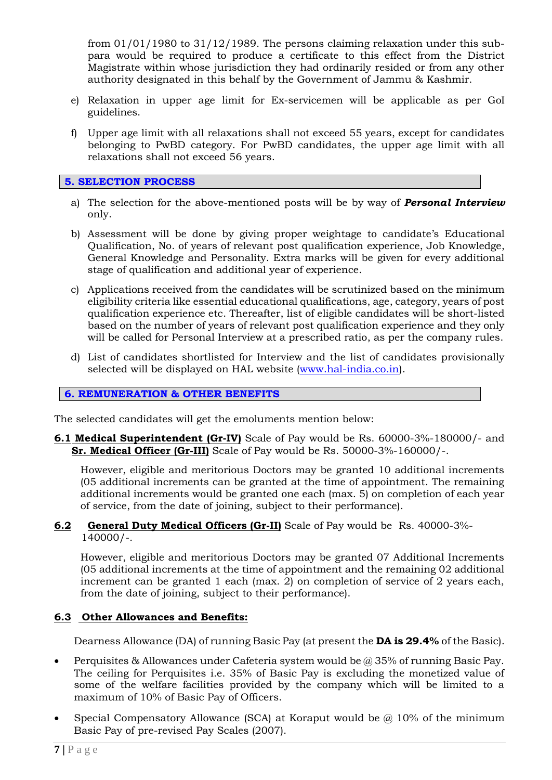from 01/01/1980 to 31/12/1989. The persons claiming relaxation under this subpara would be required to produce a certificate to this effect from the District Magistrate within whose jurisdiction they had ordinarily resided or from any other authority designated in this behalf by the Government of Jammu & Kashmir.

- e) Relaxation in upper age limit for Ex-servicemen will be applicable as per GoI guidelines.
- f) Upper age limit with all relaxations shall not exceed 55 years, except for candidates belonging to PwBD category. For PwBD candidates, the upper age limit with all relaxations shall not exceed 56 years.

### **5. SELECTION PROCESS**

- a) The selection for the above-mentioned posts will be by way of *Personal Interview* only.
- b) Assessment will be done by giving proper weightage to candidate's Educational Qualification, No. of years of relevant post qualification experience, Job Knowledge, General Knowledge and Personality. Extra marks will be given for every additional stage of qualification and additional year of experience.
- c) Applications received from the candidates will be scrutinized based on the minimum eligibility criteria like essential educational qualifications, age, category, years of post qualification experience etc. Thereafter, list of eligible candidates will be short-listed based on the number of years of relevant post qualification experience and they only will be called for Personal Interview at a prescribed ratio, as per the company rules.
- d) List of candidates shortlisted for Interview and the list of candidates provisionally selected will be displayed on HAL website [\(www.hal-india.co.in\)](http://www.hal-india.co.in/).

### **6. REMUNERATION & OTHER BENEFITS**

The selected candidates will get the emoluments mention below:

**6.1 Medical Superintendent (Gr-IV)** Scale of Pay would be Rs. 60000-3%-180000/- and **Sr. Medical Officer (Gr-III)** Scale of Pay would be Rs. 50000-3%-160000/-.

However, eligible and meritorious Doctors may be granted 10 additional increments (05 additional increments can be granted at the time of appointment. The remaining additional increments would be granted one each (max. 5) on completion of each year of service, from the date of joining, subject to their performance).

#### **6.2 General Duty Medical Officers (Gr-II)** Scale of Pay would be Rs. 40000-3%- 140000/-.

However, eligible and meritorious Doctors may be granted 07 Additional Increments (05 additional increments at the time of appointment and the remaining 02 additional increment can be granted 1 each (max. 2) on completion of service of 2 years each, from the date of joining, subject to their performance).

## **6.3 Other Allowances and Benefits:**

Dearness Allowance (DA) of running Basic Pay (at present the **DA is 29.4%** of the Basic).

- **•** Perquisites & Allowances under Cafeteria system would be  $\omega$  35% of running Basic Pay. The ceiling for Perquisites i.e. 35% of Basic Pay is excluding the monetized value of some of the welfare facilities provided by the company which will be limited to a maximum of 10% of Basic Pay of Officers.
- Special Compensatory Allowance (SCA) at Koraput would be  $\omega$  10% of the minimum Basic Pay of pre-revised Pay Scales (2007).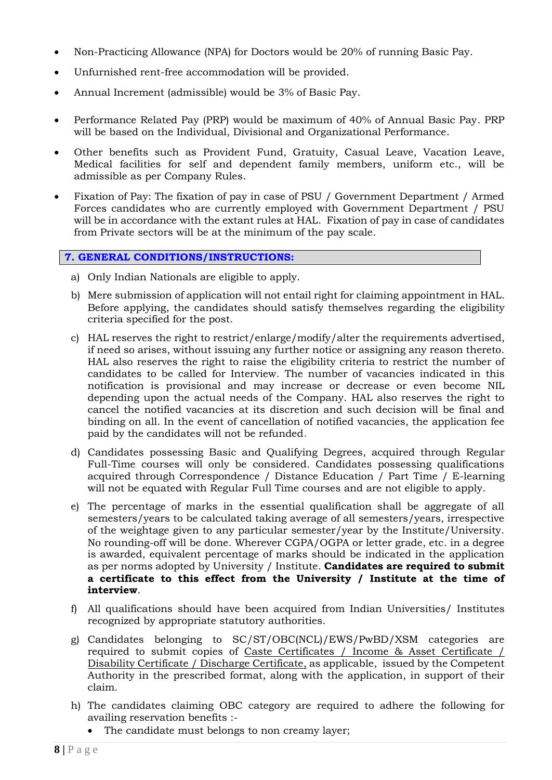- Non-Practicing Allowance (NPA) for Doctors would be 20% of running Basic Pay.
- Unfurnished rent-free accommodation will be provided.
- Annual Increment (admissible) would be 3% of Basic Pay.
- Performance Related Pay (PRP) would be maximum of 40% of Annual Basic Pay. PRP will be based on the Individual, Divisional and Organizational Performance.
- Other benefits such as Provident Fund, Gratuity, Casual Leave, Vacation Leave, Medical facilities for self and dependent family members, uniform etc., will be admissible as per Company Rules.
- Fixation of Pay: The fixation of pay in case of PSU / Government Department / Armed Forces candidates who are currently employed with Government Department / PSU will be in accordance with the extant rules at HAL. Fixation of pay in case of candidates from Private sectors will be at the minimum of the pay scale.

## **7. GENERAL CONDITIONS/INSTRUCTIONS:**

- a) Only Indian Nationals are eligible to apply.
- b) Mere submission of application will not entail right for claiming appointment in HAL. Before applying, the candidates should satisfy themselves regarding the eligibility criteria specified for the post.
- c) HAL reserves the right to restrict/enlarge/modify/alter the requirements advertised, if need so arises, without issuing any further notice or assigning any reason thereto. HAL also reserves the right to raise the eligibility criteria to restrict the number of candidates to be called for Interview. The number of vacancies indicated in this notification is provisional and may increase or decrease or even become NIL depending upon the actual needs of the Company. HAL also reserves the right to cancel the notified vacancies at its discretion and such decision will be final and binding on all. In the event of cancellation of notified vacancies, the application fee paid by the candidates will not be refunded.
- d) Candidates possessing Basic and Qualifying Degrees, acquired through Regular Full-Time courses will only be considered. Candidates possessing qualifications acquired through Correspondence / Distance Education / Part Time / E-learning will not be equated with Regular Full Time courses and are not eligible to apply.
- e) The percentage of marks in the essential qualification shall be aggregate of all semesters/years to be calculated taking average of all semesters/years, irrespective of the weightage given to any particular semester/year by the Institute/University. No rounding-off will be done. Wherever CGPA/OGPA or letter grade, etc. in a degree is awarded, equivalent percentage of marks should be indicated in the application as per norms adopted by University / Institute. **Candidates are required to submit a certificate to this effect from the University / Institute at the time of interview**.
- f) All qualifications should have been acquired from Indian Universities/ Institutes recognized by appropriate statutory authorities.
- g) Candidates belonging to SC/ST/OBC(NCL)/EWS/PwBD/XSM categories are required to submit copies of Caste Certificates / Income & Asset Certificate / Disability Certificate / Discharge Certificate, as applicable, issued by the Competent Authority in the prescribed format, along with the application, in support of their claim.
- h) The candidates claiming OBC category are required to adhere the following for availing reservation benefits :-
	- The candidate must belongs to non creamy layer;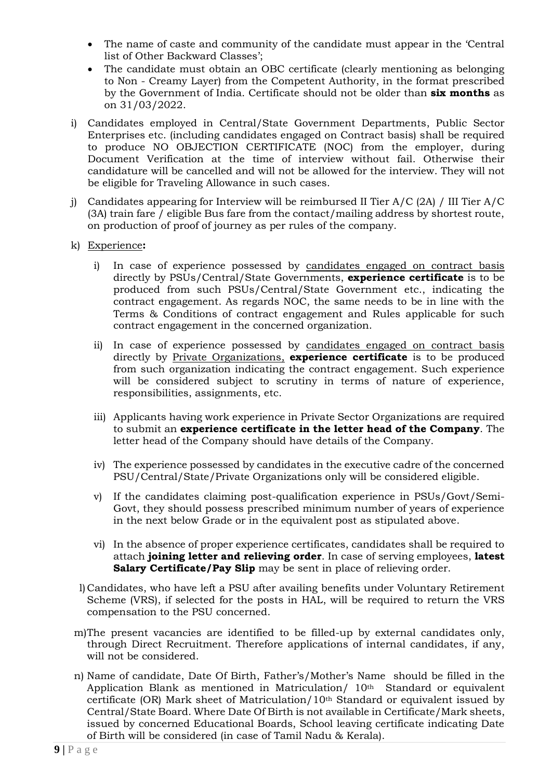- The name of caste and community of the candidate must appear in the 'Central list of Other Backward Classes';
- The candidate must obtain an OBC certificate (clearly mentioning as belonging to Non - Creamy Layer) from the Competent Authority, in the format prescribed by the Government of India. Certificate should not be older than **six months** as on 31/03/2022.
- i) Candidates employed in Central/State Government Departments, Public Sector Enterprises etc. (including candidates engaged on Contract basis) shall be required to produce NO OBJECTION CERTIFICATE (NOC) from the employer, during Document Verification at the time of interview without fail. Otherwise their candidature will be cancelled and will not be allowed for the interview. They will not be eligible for Traveling Allowance in such cases.
- j) Candidates appearing for Interview will be reimbursed II Tier A/C (2A) / III Tier A/C (3A) train fare / eligible Bus fare from the contact/mailing address by shortest route, on production of proof of journey as per rules of the company.
- k) Experience**:** 
	- i) In case of experience possessed by candidates engaged on contract basis directly by PSUs/Central/State Governments, **experience certificate** is to be produced from such PSUs/Central/State Government etc., indicating the contract engagement. As regards NOC, the same needs to be in line with the Terms & Conditions of contract engagement and Rules applicable for such contract engagement in the concerned organization.
	- ii) In case of experience possessed by candidates engaged on contract basis directly by Private Organizations, **experience certificate** is to be produced from such organization indicating the contract engagement. Such experience will be considered subject to scrutiny in terms of nature of experience, responsibilities, assignments, etc.
	- iii) Applicants having work experience in Private Sector Organizations are required to submit an **experience certificate in the letter head of the Company**. The letter head of the Company should have details of the Company.
	- iv) The experience possessed by candidates in the executive cadre of the concerned PSU/Central/State/Private Organizations only will be considered eligible.
	- v) If the candidates claiming post-qualification experience in PSUs/Govt/Semi-Govt, they should possess prescribed minimum number of years of experience in the next below Grade or in the equivalent post as stipulated above.
	- vi) In the absence of proper experience certificates, candidates shall be required to attach **joining letter and relieving order**. In case of serving employees, **latest Salary Certificate/Pay Slip** may be sent in place of relieving order.
	- l) Candidates, who have left a PSU after availing benefits under Voluntary Retirement Scheme (VRS), if selected for the posts in HAL, will be required to return the VRS compensation to the PSU concerned.
- m)The present vacancies are identified to be filled-up by external candidates only, through Direct Recruitment. Therefore applications of internal candidates, if any, will not be considered.
- n) Name of candidate, Date Of Birth, Father's/Mother's Name should be filled in the Application Blank as mentioned in Matriculation/ 10th Standard or equivalent certificate (OR) Mark sheet of Matriculation/10th Standard or equivalent issued by Central/State Board. Where Date Of Birth is not available in Certificate/Mark sheets, issued by concerned Educational Boards, School leaving certificate indicating Date of Birth will be considered (in case of Tamil Nadu & Kerala).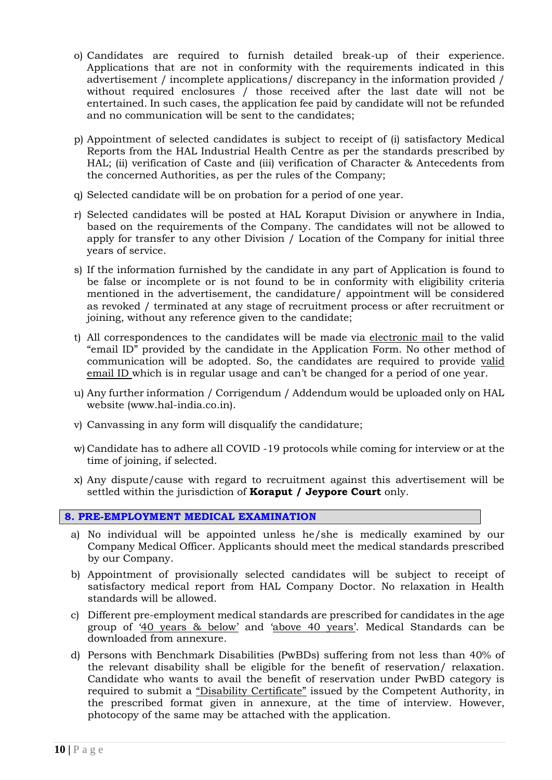- o) Candidates are required to furnish detailed break-up of their experience. Applications that are not in conformity with the requirements indicated in this advertisement / incomplete applications/ discrepancy in the information provided / without required enclosures / those received after the last date will not be entertained. In such cases, the application fee paid by candidate will not be refunded and no communication will be sent to the candidates;
- p) Appointment of selected candidates is subject to receipt of (i) satisfactory Medical Reports from the HAL Industrial Health Centre as per the standards prescribed by HAL; (ii) verification of Caste and (iii) verification of Character & Antecedents from the concerned Authorities, as per the rules of the Company;
- q) Selected candidate will be on probation for a period of one year.
- r) Selected candidates will be posted at HAL Koraput Division or anywhere in India, based on the requirements of the Company. The candidates will not be allowed to apply for transfer to any other Division / Location of the Company for initial three years of service.
- s) If the information furnished by the candidate in any part of Application is found to be false or incomplete or is not found to be in conformity with eligibility criteria mentioned in the advertisement, the candidature/ appointment will be considered as revoked / terminated at any stage of recruitment process or after recruitment or joining, without any reference given to the candidate;
- t) All correspondences to the candidates will be made via electronic mail to the valid "email ID" provided by the candidate in the Application Form. No other method of communication will be adopted. So, the candidates are required to provide valid email ID which is in regular usage and can't be changed for a period of one year.
- u) Any further information / Corrigendum / Addendum would be uploaded only on HAL website (www.hal-india.co.in).
- v) Canvassing in any form will disqualify the candidature;
- w) Candidate has to adhere all COVID -19 protocols while coming for interview or at the time of joining, if selected.
- x) Any dispute/cause with regard to recruitment against this advertisement will be settled within the jurisdiction of **Koraput / Jeypore Court** only.

#### **8. PRE-EMPLOYMENT MEDICAL EXAMINATION**

- a) No individual will be appointed unless he/she is medically examined by our Company Medical Officer. Applicants should meet the medical standards prescribed by our Company.
- b) Appointment of provisionally selected candidates will be subject to receipt of satisfactory medical report from HAL Company Doctor. No relaxation in Health standards will be allowed.
- c) Different pre-employment medical standards are prescribed for candidates in the age group of '40 years & below' and 'above 40 years'. Medical Standards can be downloaded from annexure.
- d) Persons with Benchmark Disabilities (PwBDs) suffering from not less than 40% of the relevant disability shall be eligible for the benefit of reservation/ relaxation. Candidate who wants to avail the benefit of reservation under PwBD category is required to submit a "Disability Certificate" issued by the Competent Authority, in the prescribed format given in annexure, at the time of interview. However, photocopy of the same may be attached with the application.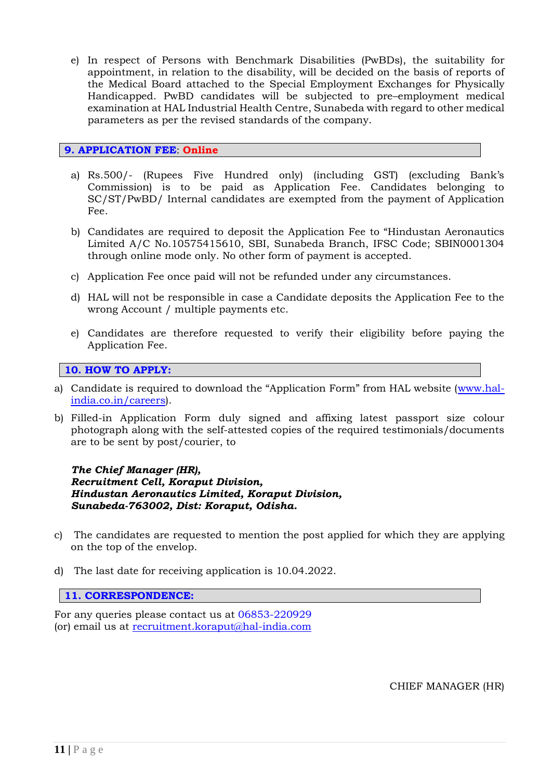e) In respect of Persons with Benchmark Disabilities (PwBDs), the suitability for appointment, in relation to the disability, will be decided on the basis of reports of the Medical Board attached to the Special Employment Exchanges for Physically Handicapped. PwBD candidates will be subjected to pre–employment medical examination at HAL Industrial Health Centre, Sunabeda with regard to other medical parameters as per the revised standards of the company.

# **9. APPLICATION FEE**: **Online**

- a) Rs.500/- (Rupees Five Hundred only) (including GST) (excluding Bank's Commission) is to be paid as Application Fee. Candidates belonging to SC/ST/PwBD/ Internal candidates are exempted from the payment of Application Fee.
- b) Candidates are required to deposit the Application Fee to "Hindustan Aeronautics Limited A/C No.10575415610, SBI, Sunabeda Branch, IFSC Code; SBIN0001304 through online mode only. No other form of payment is accepted.
- c) Application Fee once paid will not be refunded under any circumstances.
- d) HAL will not be responsible in case a Candidate deposits the Application Fee to the wrong Account / multiple payments etc.
- e) Candidates are therefore requested to verify their eligibility before paying the Application Fee.

## **10. HOW TO APPLY:**

- a) Candidate is required to download the "Application Form" from HAL website ([www.hal](http://www.hal-india.co.in/careers)[india.co.in/careers\)](http://www.hal-india.co.in/careers).
- b) Filled-in Application Form duly signed and affixing latest passport size colour photograph along with the self-attested copies of the required testimonials/documents are to be sent by post/courier, to

*The Chief Manager (HR), Recruitment Cell, Koraput Division, Hindustan Aeronautics Limited, Koraput Division, Sunabeda-763002, Dist: Koraput, Odisha.* 

- c) The candidates are requested to mention the post applied for which they are applying on the top of the envelop.
- d) The last date for receiving application is 10.04.2022.

#### **11. CORRESPONDENCE:**

For any queries please contact us at 06853-220929 (or) email us at [recruitment.koraput@hal-india.com](mailto:recruitment.koraput@hal-india.com)

CHIEF MANAGER (HR)